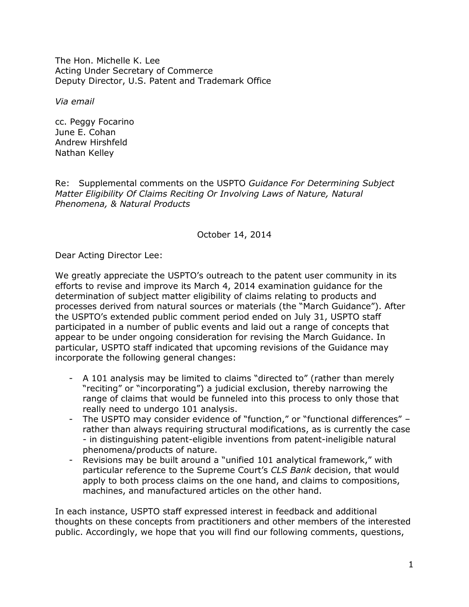The Hon. Michelle K. Lee Acting Under Secretary of Commerce Deputy Director, U.S. Patent and Trademark Office

*Via email*

cc. Peggy Focarino June E. Cohan Andrew Hirshfeld Nathan Kelley

Re: Supplemental comments on the USPTO *Guidance For Determining Subject Matter Eligibility Of Claims Reciting Or Involving Laws of Nature, Natural Phenomena, & Natural Products*

October 14, 2014

Dear Acting Director Lee:

We greatly appreciate the USPTO's outreach to the patent user community in its efforts to revise and improve its March 4, 2014 examination guidance for the determination of subject matter eligibility of claims relating to products and processes derived from natural sources or materials (the "March Guidance"). After the USPTO's extended public comment period ended on July 31, USPTO staff participated in a number of public events and laid out a range of concepts that appear to be under ongoing consideration for revising the March Guidance. In particular, USPTO staff indicated that upcoming revisions of the Guidance may incorporate the following general changes:

- A 101 analysis may be limited to claims "directed to" (rather than merely "reciting" or "incorporating") a judicial exclusion, thereby narrowing the range of claims that would be funneled into this process to only those that really need to undergo 101 analysis.
- The USPTO may consider evidence of "function," or "functional differences" rather than always requiring structural modifications, as is currently the case - in distinguishing patent-eligible inventions from patent-ineligible natural phenomena/products of nature.
- Revisions may be built around a "unified 101 analytical framework," with particular reference to the Supreme Court's *CLS Bank* decision, that would apply to both process claims on the one hand, and claims to compositions, machines, and manufactured articles on the other hand.

In each instance, USPTO staff expressed interest in feedback and additional thoughts on these concepts from practitioners and other members of the interested public. Accordingly, we hope that you will find our following comments, questions,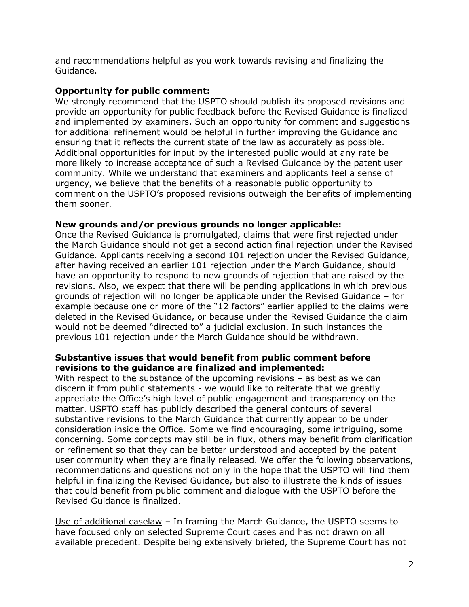and recommendations helpful as you work towards revising and finalizing the Guidance.

## **Opportunity for public comment:**

We strongly recommend that the USPTO should publish its proposed revisions and provide an opportunity for public feedback before the Revised Guidance is finalized and implemented by examiners. Such an opportunity for comment and suggestions for additional refinement would be helpful in further improving the Guidance and ensuring that it reflects the current state of the law as accurately as possible. Additional opportunities for input by the interested public would at any rate be more likely to increase acceptance of such a Revised Guidance by the patent user community. While we understand that examiners and applicants feel a sense of urgency, we believe that the benefits of a reasonable public opportunity to comment on the USPTO's proposed revisions outweigh the benefits of implementing them sooner.

## **New grounds and/or previous grounds no longer applicable:**

Once the Revised Guidance is promulgated, claims that were first rejected under the March Guidance should not get a second action final rejection under the Revised Guidance. Applicants receiving a second 101 rejection under the Revised Guidance, after having received an earlier 101 rejection under the March Guidance, should have an opportunity to respond to new grounds of rejection that are raised by the revisions. Also, we expect that there will be pending applications in which previous grounds of rejection will no longer be applicable under the Revised Guidance – for example because one or more of the "12 factors" earlier applied to the claims were deleted in the Revised Guidance, or because under the Revised Guidance the claim would not be deemed "directed to" a judicial exclusion. In such instances the previous 101 rejection under the March Guidance should be withdrawn.

## **Substantive issues that would benefit from public comment before revisions to the guidance are finalized and implemented:**

With respect to the substance of the upcoming revisions – as best as we can discern it from public statements - we would like to reiterate that we greatly appreciate the Office's high level of public engagement and transparency on the matter. USPTO staff has publicly described the general contours of several substantive revisions to the March Guidance that currently appear to be under consideration inside the Office. Some we find encouraging, some intriguing, some concerning. Some concepts may still be in flux, others may benefit from clarification or refinement so that they can be better understood and accepted by the patent user community when they are finally released. We offer the following observations, recommendations and questions not only in the hope that the USPTO will find them helpful in finalizing the Revised Guidance, but also to illustrate the kinds of issues that could benefit from public comment and dialogue with the USPTO before the Revised Guidance is finalized.

Use of additional caselaw – In framing the March Guidance, the USPTO seems to have focused only on selected Supreme Court cases and has not drawn on all available precedent. Despite being extensively briefed, the Supreme Court has not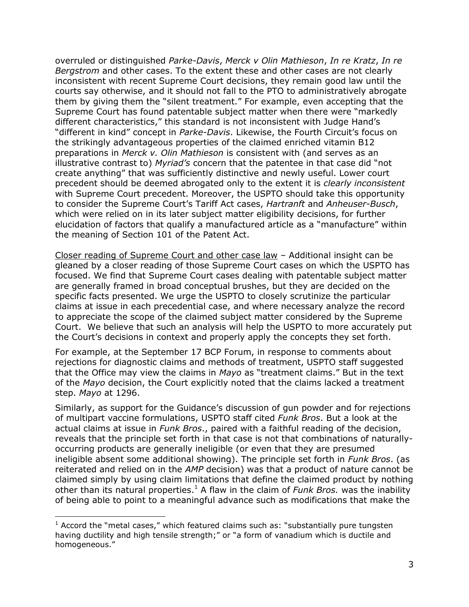overruled or distinguished *Parke-Davis*, *Merck v Olin Mathieson*, *In re Kratz*, *In re Bergstrom* and other cases. To the extent these and other cases are not clearly inconsistent with recent Supreme Court decisions, they remain good law until the courts say otherwise, and it should not fall to the PTO to administratively abrogate them by giving them the "silent treatment." For example, even accepting that the Supreme Court has found patentable subject matter when there were "markedly different characteristics," this standard is not inconsistent with Judge Hand's "different in kind" concept in *Parke-Davis*. Likewise, the Fourth Circuit's focus on the strikingly advantageous properties of the claimed enriched vitamin B12 preparations in *Merck v. Olin Mathieson* is consistent with (and serves as an illustrative contrast to) *Myriad's* concern that the patentee in that case did "not create anything" that was sufficiently distinctive and newly useful. Lower court precedent should be deemed abrogated only to the extent it is *clearly inconsistent* with Supreme Court precedent. Moreover, the USPTO should take this opportunity to consider the Supreme Court's Tariff Act cases, *Hartranft* and *Anheuser-Busch*, which were relied on in its later subject matter eligibility decisions, for further elucidation of factors that qualify a manufactured article as a "manufacture" within the meaning of Section 101 of the Patent Act.

Closer reading of Supreme Court and other case law – Additional insight can be gleaned by a closer reading of those Supreme Court cases on which the USPTO has focused. We find that Supreme Court cases dealing with patentable subject matter are generally framed in broad conceptual brushes, but they are decided on the specific facts presented. We urge the USPTO to closely scrutinize the particular claims at issue in each precedential case, and where necessary analyze the record to appreciate the scope of the claimed subject matter considered by the Supreme Court. We believe that such an analysis will help the USPTO to more accurately put the Court's decisions in context and properly apply the concepts they set forth.

For example, at the September 17 BCP Forum, in response to comments about rejections for diagnostic claims and methods of treatment, USPTO staff suggested that the Office may view the claims in *Mayo* as "treatment claims." But in the text of the *Mayo* decision, the Court explicitly noted that the claims lacked a treatment step. *Mayo* at 1296.

Similarly, as support for the Guidance's discussion of gun powder and for rejections of multipart vaccine formulations, USPTO staff cited *Funk Bros*. But a look at the actual claims at issue in *Funk Bros*., paired with a faithful reading of the decision, reveals that the principle set forth in that case is not that combinations of naturallyoccurring products are generally ineligible (or even that they are presumed ineligible absent some additional showing). The principle set forth in *Funk Bros*. (as reiterated and relied on in the *AMP* decision) was that a product of nature cannot be claimed simply by using claim limitations that define the claimed product by nothing other than its natural properties.<sup>1</sup> A flaw in the claim of *Funk Bros.* was the inability of being able to point to a meaningful advance such as modifications that make the

 $\overline{a}$ 

 $1$  Accord the "metal cases," which featured claims such as: "substantially pure tungsten having ductility and high tensile strength;" or "a form of vanadium which is ductile and homogeneous."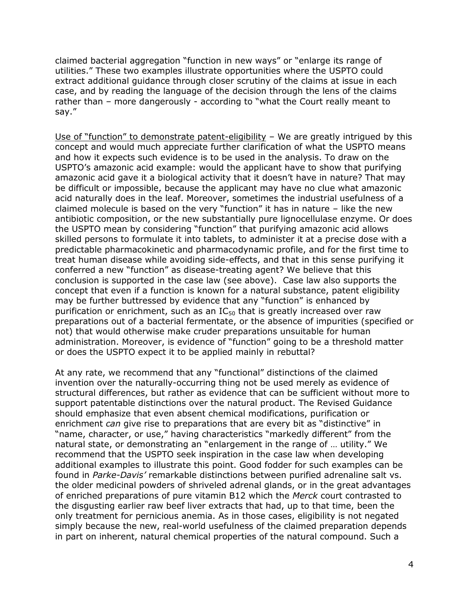claimed bacterial aggregation "function in new ways" or "enlarge its range of utilities." These two examples illustrate opportunities where the USPTO could extract additional guidance through closer scrutiny of the claims at issue in each case, and by reading the language of the decision through the lens of the claims rather than – more dangerously - according to "what the Court really meant to say."

Use of "function" to demonstrate patent-eligibility - We are greatly intrigued by this concept and would much appreciate further clarification of what the USPTO means and how it expects such evidence is to be used in the analysis. To draw on the USPTO's amazonic acid example: would the applicant have to show that purifying amazonic acid gave it a biological activity that it doesn't have in nature? That may be difficult or impossible, because the applicant may have no clue what amazonic acid naturally does in the leaf. Moreover, sometimes the industrial usefulness of a claimed molecule is based on the very "function" it has in nature – like the new antibiotic composition, or the new substantially pure lignocellulase enzyme. Or does the USPTO mean by considering "function" that purifying amazonic acid allows skilled persons to formulate it into tablets, to administer it at a precise dose with a predictable pharmacokinetic and pharmacodynamic profile, and for the first time to treat human disease while avoiding side-effects, and that in this sense purifying it conferred a new "function" as disease-treating agent? We believe that this conclusion is supported in the case law (see above). Case law also supports the concept that even if a function is known for a natural substance, patent eligibility may be further buttressed by evidence that any "function" is enhanced by purification or enrichment, such as an  $IC_{50}$  that is greatly increased over raw preparations out of a bacterial fermentate, or the absence of impurities (specified or not) that would otherwise make cruder preparations unsuitable for human administration. Moreover, is evidence of "function" going to be a threshold matter or does the USPTO expect it to be applied mainly in rebuttal?

At any rate, we recommend that any "functional" distinctions of the claimed invention over the naturally-occurring thing not be used merely as evidence of structural differences, but rather as evidence that can be sufficient without more to support patentable distinctions over the natural product. The Revised Guidance should emphasize that even absent chemical modifications, purification or enrichment *can* give rise to preparations that are every bit as "distinctive" in "name, character, or use," having characteristics "markedly different" from the natural state, or demonstrating an "enlargement in the range of … utility." We recommend that the USPTO seek inspiration in the case law when developing additional examples to illustrate this point. Good fodder for such examples can be found in *Parke-Davis'* remarkable distinctions between purified adrenaline salt vs. the older medicinal powders of shriveled adrenal glands, or in the great advantages of enriched preparations of pure vitamin B12 which the *Merck* court contrasted to the disgusting earlier raw beef liver extracts that had, up to that time, been the only treatment for pernicious anemia. As in those cases, eligibility is not negated simply because the new, real-world usefulness of the claimed preparation depends in part on inherent, natural chemical properties of the natural compound. Such a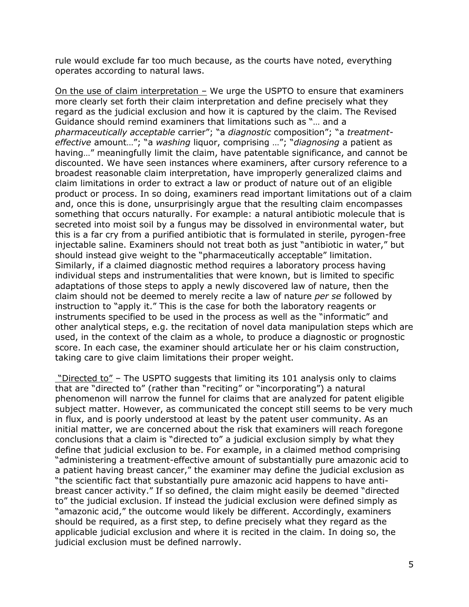rule would exclude far too much because, as the courts have noted, everything operates according to natural laws.

On the use of claim interpretation – We urge the USPTO to ensure that examiners more clearly set forth their claim interpretation and define precisely what they regard as the judicial exclusion and how it is captured by the claim. The Revised Guidance should remind examiners that limitations such as "… and a *pharmaceutically acceptable* carrier"; "a *diagnostic* composition"; "a *treatmenteffective* amount…"; "a *washing* liquor, comprising …"; "*diagnosing* a patient as having…" meaningfully limit the claim, have patentable significance, and cannot be discounted. We have seen instances where examiners, after cursory reference to a broadest reasonable claim interpretation, have improperly generalized claims and claim limitations in order to extract a law or product of nature out of an eligible product or process. In so doing, examiners read important limitations out of a claim and, once this is done, unsurprisingly argue that the resulting claim encompasses something that occurs naturally. For example: a natural antibiotic molecule that is secreted into moist soil by a fungus may be dissolved in environmental water, but this is a far cry from a purified antibiotic that is formulated in sterile, pyrogen-free injectable saline. Examiners should not treat both as just "antibiotic in water," but should instead give weight to the "pharmaceutically acceptable" limitation. Similarly, if a claimed diagnostic method requires a laboratory process having individual steps and instrumentalities that were known, but is limited to specific adaptations of those steps to apply a newly discovered law of nature, then the claim should not be deemed to merely recite a law of nature *per se* followed by instruction to "apply it." This is the case for both the laboratory reagents or instruments specified to be used in the process as well as the "informatic" and other analytical steps, e.g. the recitation of novel data manipulation steps which are used, in the context of the claim as a whole, to produce a diagnostic or prognostic score. In each case, the examiner should articulate her or his claim construction, taking care to give claim limitations their proper weight.

"Directed to" – The USPTO suggests that limiting its 101 analysis only to claims that are "directed to" (rather than "reciting" or "incorporating") a natural phenomenon will narrow the funnel for claims that are analyzed for patent eligible subject matter. However, as communicated the concept still seems to be very much in flux, and is poorly understood at least by the patent user community. As an initial matter, we are concerned about the risk that examiners will reach foregone conclusions that a claim is "directed to" a judicial exclusion simply by what they define that judicial exclusion to be. For example, in a claimed method comprising "administering a treatment-effective amount of substantially pure amazonic acid to a patient having breast cancer," the examiner may define the judicial exclusion as "the scientific fact that substantially pure amazonic acid happens to have antibreast cancer activity." If so defined, the claim might easily be deemed "directed to" the judicial exclusion. If instead the judicial exclusion were defined simply as "amazonic acid," the outcome would likely be different. Accordingly, examiners should be required, as a first step, to define precisely what they regard as the applicable judicial exclusion and where it is recited in the claim. In doing so, the judicial exclusion must be defined narrowly.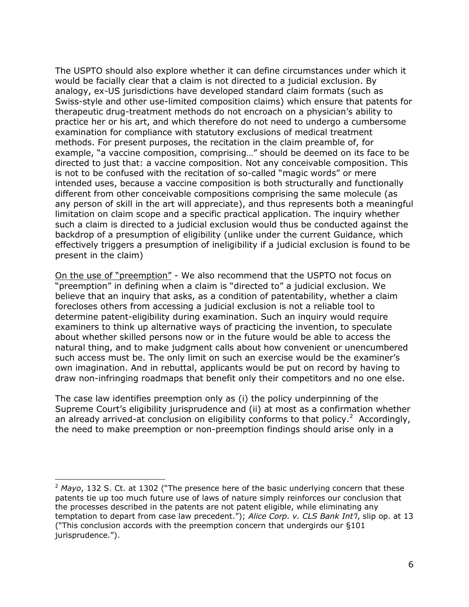The USPTO should also explore whether it can define circumstances under which it would be facially clear that a claim is not directed to a judicial exclusion. By analogy, ex-US jurisdictions have developed standard claim formats (such as Swiss-style and other use-limited composition claims) which ensure that patents for therapeutic drug-treatment methods do not encroach on a physician's ability to practice her or his art, and which therefore do not need to undergo a cumbersome examination for compliance with statutory exclusions of medical treatment methods. For present purposes, the recitation in the claim preamble of, for example, "a vaccine composition, comprising…" should be deemed on its face to be directed to just that: a vaccine composition. Not any conceivable composition. This is not to be confused with the recitation of so-called "magic words" or mere intended uses, because a vaccine composition is both structurally and functionally different from other conceivable compositions comprising the same molecule (as any person of skill in the art will appreciate), and thus represents both a meaningful limitation on claim scope and a specific practical application. The inquiry whether such a claim is directed to a judicial exclusion would thus be conducted against the backdrop of a presumption of eligibility (unlike under the current Guidance, which effectively triggers a presumption of ineligibility if a judicial exclusion is found to be present in the claim)

On the use of "preemption" - We also recommend that the USPTO not focus on "preemption" in defining when a claim is "directed to" a judicial exclusion. We believe that an inquiry that asks, as a condition of patentability, whether a claim forecloses others from accessing a judicial exclusion is not a reliable tool to determine patent-eligibility during examination. Such an inquiry would require examiners to think up alternative ways of practicing the invention, to speculate about whether skilled persons now or in the future would be able to access the natural thing, and to make judgment calls about how convenient or unencumbered such access must be. The only limit on such an exercise would be the examiner's own imagination. And in rebuttal, applicants would be put on record by having to draw non-infringing roadmaps that benefit only their competitors and no one else.

The case law identifies preemption only as (i) the policy underpinning of the Supreme Court's eligibility jurisprudence and (ii) at most as a confirmation whether an already arrived-at conclusion on eligibility conforms to that policy.<sup>2</sup> Accordingly, the need to make preemption or non-preemption findings should arise only in a

 $\overline{a}$ 

<sup>&</sup>lt;sup>2</sup> Mayo, 132 S. Ct. at 1302 ("The presence here of the basic underlying concern that these patents tie up too much future use of laws of nature simply reinforces our conclusion that the processes described in the patents are not patent eligible, while eliminating any temptation to depart from case law precedent."); *Alice Corp. v. CLS Bank Int'l*, slip op. at 13 ("This conclusion accords with the preemption concern that undergirds our §101 jurisprudence.").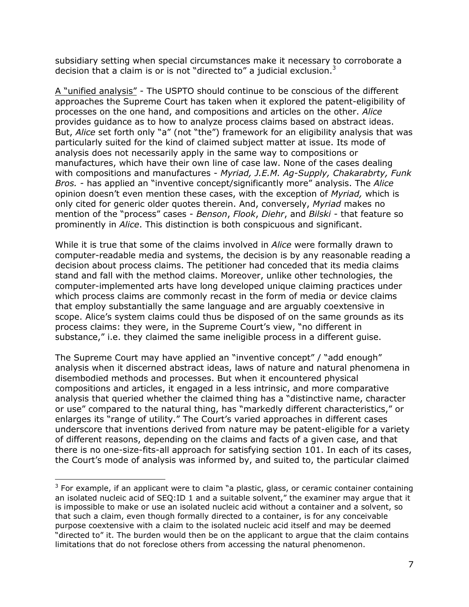subsidiary setting when special circumstances make it necessary to corroborate a decision that a claim is or is not "directed to" a judicial exclusion. $3$ 

A "unified analysis" - The USPTO should continue to be conscious of the different approaches the Supreme Court has taken when it explored the patent-eligibility of processes on the one hand, and compositions and articles on the other. *Alice* provides guidance as to how to analyze process claims based on abstract ideas. But, *Alice* set forth only "a" (not "the") framework for an eligibility analysis that was particularly suited for the kind of claimed subject matter at issue. Its mode of analysis does not necessarily apply in the same way to compositions or manufactures, which have their own line of case law. None of the cases dealing with compositions and manufactures - *Myriad, J.E.M. Ag-Supply, Chakarabrty, Funk Bros. -* has applied an "inventive concept/significantly more" analysis. The *Alice* opinion doesn't even mention these cases, with the exception of *Myriad,* which is only cited for generic older quotes therein. And, conversely, *Myriad* makes no mention of the "process" cases - *Benson*, *Flook*, *Diehr*, and *Bilski* - that feature so prominently in *Alice*. This distinction is both conspicuous and significant.

While it is true that some of the claims involved in *Alice* were formally drawn to computer-readable media and systems, the decision is by any reasonable reading a decision about process claims. The petitioner had conceded that its media claims stand and fall with the method claims. Moreover, unlike other technologies, the computer-implemented arts have long developed unique claiming practices under which process claims are commonly recast in the form of media or device claims that employ substantially the same language and are arguably coextensive in scope. Alice's system claims could thus be disposed of on the same grounds as its process claims: they were, in the Supreme Court's view, "no different in substance," i.e. they claimed the same ineligible process in a different guise.

The Supreme Court may have applied an "inventive concept" / "add enough" analysis when it discerned abstract ideas, laws of nature and natural phenomena in disembodied methods and processes. But when it encountered physical compositions and articles, it engaged in a less intrinsic, and more comparative analysis that queried whether the claimed thing has a "distinctive name, character or use" compared to the natural thing, has "markedly different characteristics," or enlarges its "range of utility." The Court's varied approaches in different cases underscore that inventions derived from nature may be patent-eligible for a variety of different reasons, depending on the claims and facts of a given case, and that there is no one-size-fits-all approach for satisfying section 101. In each of its cases, the Court's mode of analysis was informed by, and suited to, the particular claimed

 $\overline{a}$ 

 $3$  For example, if an applicant were to claim "a plastic, glass, or ceramic container containing an isolated nucleic acid of SEQ:ID 1 and a suitable solvent," the examiner may argue that it is impossible to make or use an isolated nucleic acid without a container and a solvent, so that such a claim, even though formally directed to a container, is for any conceivable purpose coextensive with a claim to the isolated nucleic acid itself and may be deemed "directed to" it. The burden would then be on the applicant to argue that the claim contains limitations that do not foreclose others from accessing the natural phenomenon.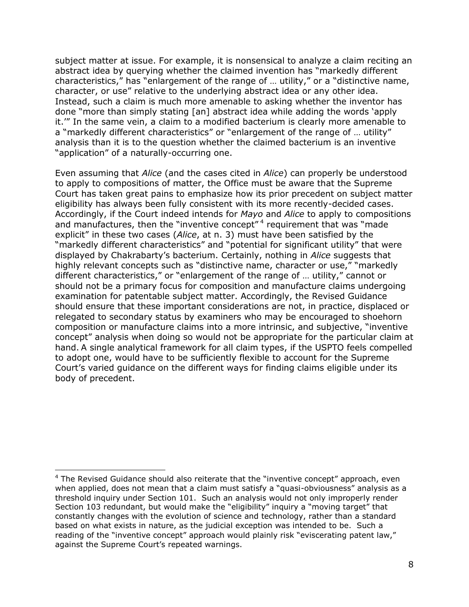subject matter at issue. For example, it is nonsensical to analyze a claim reciting an abstract idea by querying whether the claimed invention has "markedly different characteristics," has "enlargement of the range of … utility," or a "distinctive name, character, or use" relative to the underlying abstract idea or any other idea. Instead, such a claim is much more amenable to asking whether the inventor has done "more than simply stating [an] abstract idea while adding the words 'apply it.'" In the same vein, a claim to a modified bacterium is clearly more amenable to a "markedly different characteristics" or "enlargement of the range of … utility" analysis than it is to the question whether the claimed bacterium is an inventive "application" of a naturally-occurring one.

Even assuming that *Alice* (and the cases cited in *Alice*) can properly be understood to apply to compositions of matter, the Office must be aware that the Supreme Court has taken great pains to emphasize how its prior precedent on subject matter eligibility has always been fully consistent with its more recently-decided cases. Accordingly, if the Court indeed intends for *Mayo* and *Alice* to apply to compositions and manufactures, then the "inventive concept"<sup>4</sup> requirement that was "made explicit" in these two cases (*Alice*, at n. 3) must have been satisfied by the "markedly different characteristics" and "potential for significant utility" that were displayed by Chakrabarty's bacterium. Certainly, nothing in *Alice* suggests that highly relevant concepts such as "distinctive name, character or use," "markedly different characteristics," or "enlargement of the range of … utility," cannot or should not be a primary focus for composition and manufacture claims undergoing examination for patentable subject matter. Accordingly, the Revised Guidance should ensure that these important considerations are not, in practice, displaced or relegated to secondary status by examiners who may be encouraged to shoehorn composition or manufacture claims into a more intrinsic, and subjective, "inventive concept" analysis when doing so would not be appropriate for the particular claim at hand. A single analytical framework for all claim types, if the USPTO feels compelled to adopt one, would have to be sufficiently flexible to account for the Supreme Court's varied guidance on the different ways for finding claims eligible under its body of precedent.

 $\overline{\phantom{a}}$ 

 $4$  The Revised Guidance should also reiterate that the "inventive concept" approach, even when applied, does not mean that a claim must satisfy a "quasi-obviousness" analysis as a threshold inquiry under Section 101. Such an analysis would not only improperly render Section 103 redundant, but would make the "eligibility" inquiry a "moving target" that constantly changes with the evolution of science and technology, rather than a standard based on what exists in nature, as the judicial exception was intended to be. Such a reading of the "inventive concept" approach would plainly risk "eviscerating patent law," against the Supreme Court's repeated warnings.